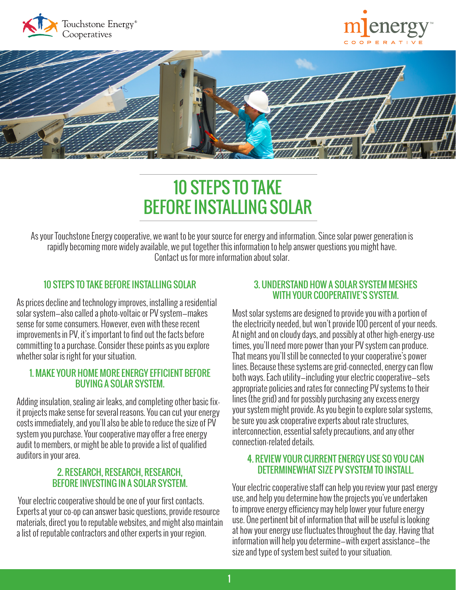





# 10 STEPS TO TAKE BEFORE INSTALLING SOLAR

As your Touchstone Energy cooperative, we want to be your source for energy and information. Since solar power generation is rapidly becoming more widely available, we put together this information to help answer questions you might have. Contact us for more information about solar.

# 10 STEPS TO TAKE BEFORE INSTALLING SOLAR

As prices decline and technology improves, installing a residential solar system—also called a photo-voltaic or PV system—makes sense for some consumers. However, even with these recent improvements in PV, it's important to find out the facts before committing to a purchase. Consider these points as you explore whether solar is right for your situation.

# 1. MAKE YOUR HOME MORE ENERGY EFFICIENT BEFORE BUYING A SOLAR SYSTEM.

Adding insulation, sealing air leaks, and completing other basic fixit projects make sense for several reasons. You can cut your energy costs immediately, and you'll also be able to reduce the size of PV system you purchase. Your cooperative may offer a free energy audit to members, or might be able to provide a list of qualified auditors in your area.

# 2. RESEARCH, RESEARCH, RESEARCH, BEFORE INVESTING IN A SOLAR SYSTEM.

 Your electric cooperative should be one of your first contacts. Experts at your co-op can answer basic questions, provide resource materials, direct you to reputable websites, and might also maintain a list of reputable contractors and other experts in your region.

# 3. UNDERSTAND HOW A SOLAR SYSTEM MESHES WITH YOUR COOPERATIVE'S SYSTEM.

Most solar systems are designed to provide you with a portion of the electricity needed, but won't provide 100 percent of your needs. At night and on cloudy days, and possibly at other high-energy-use times, you'll need more power than your PV system can produce. That means you'll still be connected to your cooperative's power lines. Because these systems are grid-connected, energy can flow both ways. Each utility—including your electric cooperative—sets appropriate policies and rates for connecting PV systems to their lines (the grid) and for possibly purchasing any excess energy your system might provide. As you begin to explore solar systems, be sure you ask cooperative experts about rate structures, interconnection, essential safety precautions, and any other connection-related details.

# 4. REVIEW YOUR CURRENT ENERGY USE SO YOU CAN DETERMINEWHAT SIZE PV SYSTEM TO INSTALL.

Your electric cooperative staff can help you review your past energy use, and help you determine how the projects you've undertaken to improve energy efficiency may help lower your future energy use. One pertinent bit of information that will be useful is looking at how your energy use fluctuates throughout the day. Having that information will help you determine—with expert assistance—the size and type of system best suited to your situation.